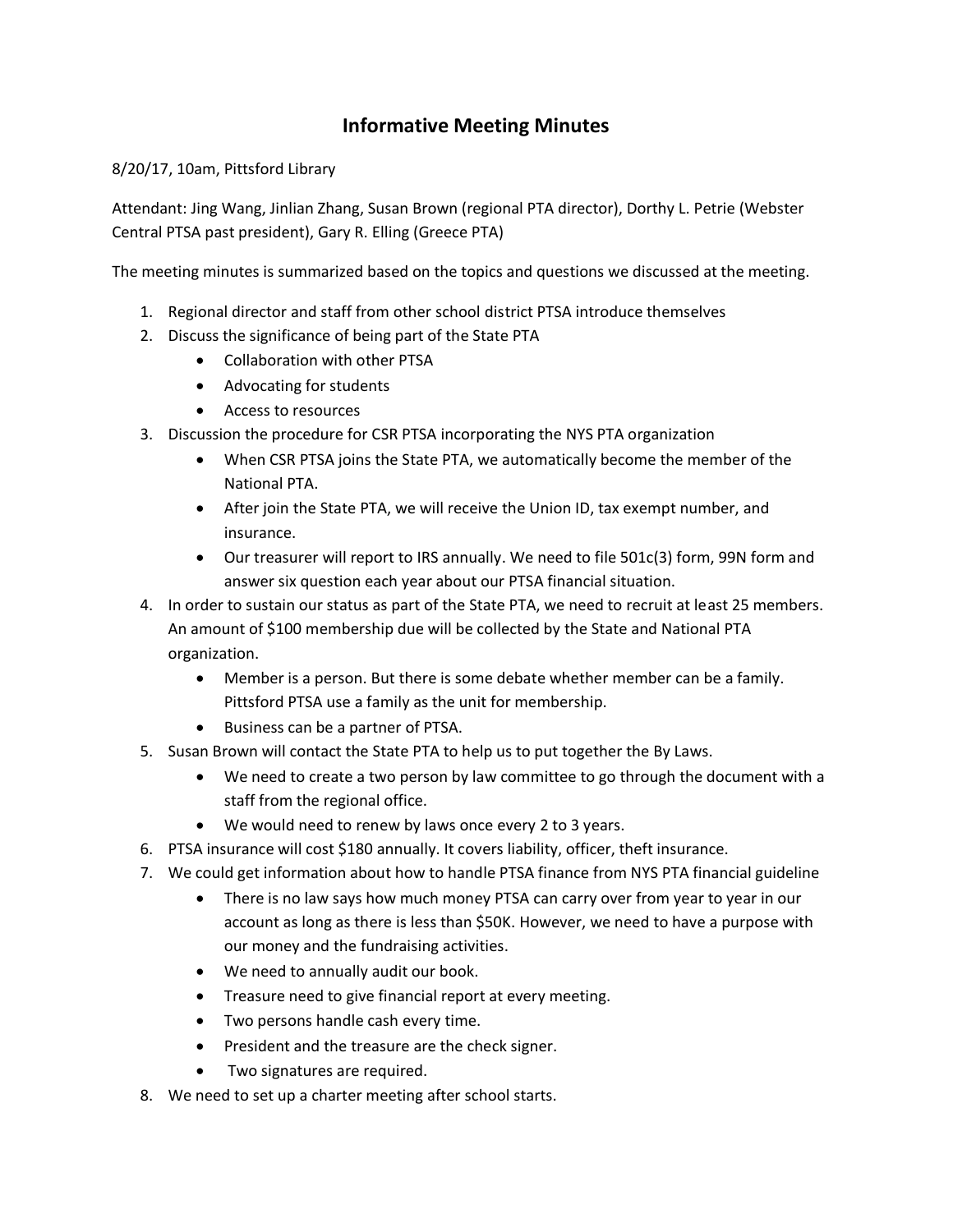## **Informative Meeting Minutes**

8/20/17, 10am, Pittsford Library

Attendant: Jing Wang, Jinlian Zhang, Susan Brown (regional PTA director), Dorthy L. Petrie (Webster Central PTSA past president), Gary R. Elling (Greece PTA)

The meeting minutes is summarized based on the topics and questions we discussed at the meeting.

- 1. Regional director and staff from other school district PTSA introduce themselves
- 2. Discuss the significance of being part of the State PTA
	- Collaboration with other PTSA
	- Advocating for students
	- Access to resources
- 3. Discussion the procedure for CSR PTSA incorporating the NYS PTA organization
	- When CSR PTSA joins the State PTA, we automatically become the member of the National PTA.
	- After join the State PTA, we will receive the Union ID, tax exempt number, and insurance.
	- Our treasurer will report to IRS annually. We need to file 501c(3) form, 99N form and answer six question each year about our PTSA financial situation.
- 4. In order to sustain our status as part of the State PTA, we need to recruit at least 25 members. An amount of \$100 membership due will be collected by the State and National PTA organization.
	- Member is a person. But there is some debate whether member can be a family. Pittsford PTSA use a family as the unit for membership.
	- Business can be a partner of PTSA.
- 5. Susan Brown will contact the State PTA to help us to put together the By Laws.
	- We need to create a two person by law committee to go through the document with a staff from the regional office.
	- We would need to renew by laws once every 2 to 3 years.
- 6. PTSA insurance will cost \$180 annually. It covers liability, officer, theft insurance.
- 7. We could get information about how to handle PTSA finance from NYS PTA financial guideline
	- There is no law says how much money PTSA can carry over from year to year in our account as long as there is less than \$50K. However, we need to have a purpose with our money and the fundraising activities.
	- We need to annually audit our book.
	- Treasure need to give financial report at every meeting.
	- Two persons handle cash every time.
	- President and the treasure are the check signer.
	- Two signatures are required.
- 8. We need to set up a charter meeting after school starts.